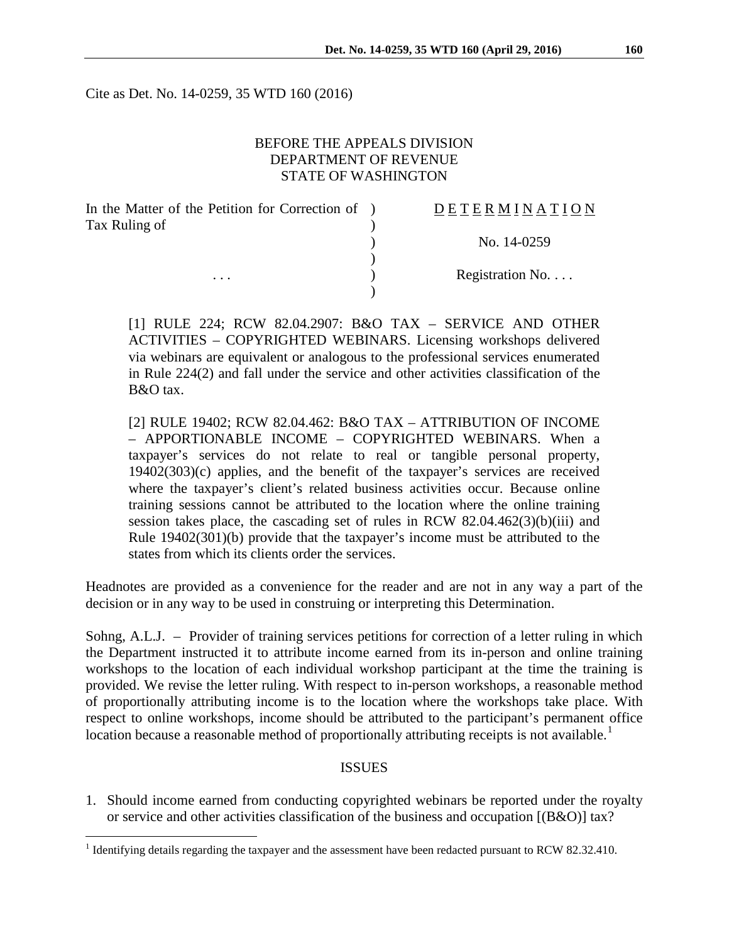Cite as Det. No. 14-0259, 35 WTD 160 (2016)

### BEFORE THE APPEALS DIVISION DEPARTMENT OF REVENUE STATE OF WASHINGTON

| In the Matter of the Petition for Correction of ) | <b>DETERMINATION</b> |
|---------------------------------------------------|----------------------|
| Tax Ruling of                                     |                      |
|                                                   | No. 14-0259          |
|                                                   |                      |
| $\cdots$                                          | Registration No.     |
|                                                   |                      |

[1] RULE 224; RCW 82.04.2907: B&O TAX – SERVICE AND OTHER ACTIVITIES – COPYRIGHTED WEBINARS. Licensing workshops delivered via webinars are equivalent or analogous to the professional services enumerated in Rule 224(2) and fall under the service and other activities classification of the B&O tax.

[2] RULE 19402; RCW 82.04.462: B&O TAX – ATTRIBUTION OF INCOME – APPORTIONABLE INCOME – COPYRIGHTED WEBINARS. When a taxpayer's services do not relate to real or tangible personal property, 19402(303)(c) applies, and the benefit of the taxpayer's services are received where the taxpayer's client's related business activities occur. Because online training sessions cannot be attributed to the location where the online training session takes place, the cascading set of rules in RCW 82.04.462(3)(b)(iii) and Rule 19402(301)(b) provide that the taxpayer's income must be attributed to the states from which its clients order the services.

Headnotes are provided as a convenience for the reader and are not in any way a part of the decision or in any way to be used in construing or interpreting this Determination.

Sohng, A.L.J. – Provider of training services petitions for correction of a letter ruling in which the Department instructed it to attribute income earned from its in-person and online training workshops to the location of each individual workshop participant at the time the training is provided. We revise the letter ruling. With respect to in-person workshops, a reasonable method of proportionally attributing income is to the location where the workshops take place. With respect to online workshops, income should be attributed to the participant's permanent office location because a reasonable method of proportionally attributing receipts is not available.<sup>[1](#page-0-0)</sup>

#### **ISSUES**

1. Should income earned from conducting copyrighted webinars be reported under the royalty or service and other activities classification of the business and occupation [(B&O)] tax?

<span id="page-0-0"></span><sup>&</sup>lt;sup>1</sup> Identifying details regarding the taxpayer and the assessment have been redacted pursuant to RCW 82.32.410.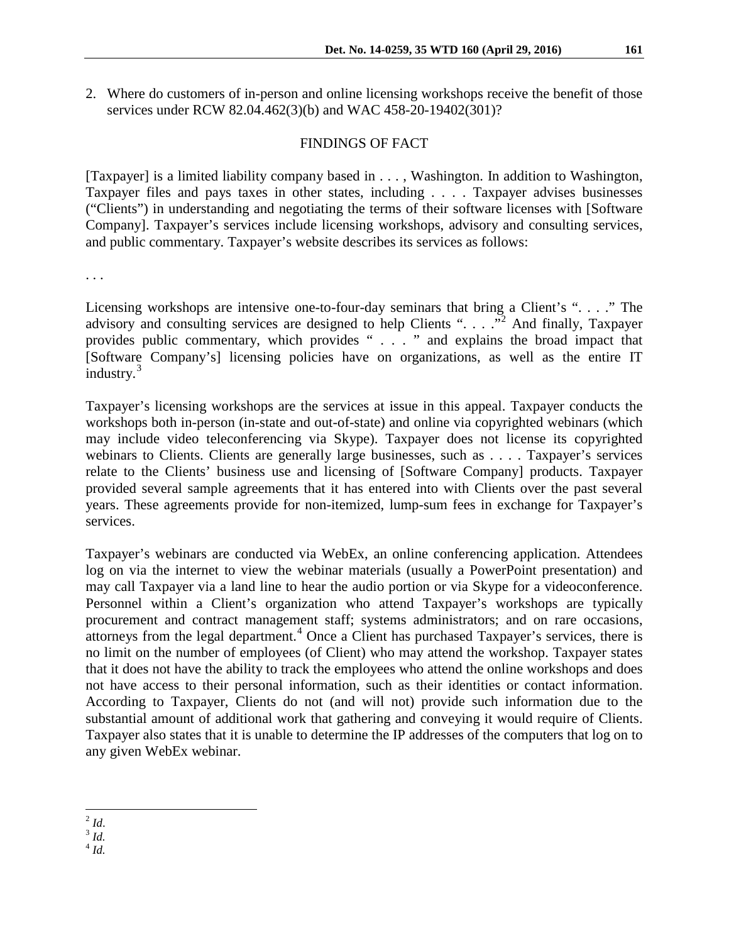2. Where do customers of in-person and online licensing workshops receive the benefit of those services under RCW 82.04.462(3)(b) and WAC 458-20-19402(301)?

### FINDINGS OF FACT

[Taxpayer] is a limited liability company based in . . . , Washington. In addition to Washington, Taxpayer files and pays taxes in other states, including . . . . Taxpayer advises businesses ("Clients") in understanding and negotiating the terms of their software licenses with [Software Company]. Taxpayer's services include licensing workshops, advisory and consulting services, and public commentary. Taxpayer's website describes its services as follows:

. . .

Licensing workshops are intensive one-to-four-day seminars that bring a Client's ". . . ." The advisory and consulting services are designed to help Clients ". . . . . . . . And finally, Taxpayer provides public commentary, which provides " . . . " and explains the broad impact that [Software Company's] licensing policies have on organizations, as well as the entire IT industry.<sup>[3](#page-1-1)</sup>

Taxpayer's licensing workshops are the services at issue in this appeal. Taxpayer conducts the workshops both in-person (in-state and out-of-state) and online via copyrighted webinars (which may include video teleconferencing via Skype). Taxpayer does not license its copyrighted webinars to Clients. Clients are generally large businesses, such as . . . . Taxpayer's services relate to the Clients' business use and licensing of [Software Company] products. Taxpayer provided several sample agreements that it has entered into with Clients over the past several years. These agreements provide for non-itemized, lump-sum fees in exchange for Taxpayer's services.

Taxpayer's webinars are conducted via WebEx, an online conferencing application. Attendees log on via the internet to view the webinar materials (usually a PowerPoint presentation) and may call Taxpayer via a land line to hear the audio portion or via Skype for a videoconference. Personnel within a Client's organization who attend Taxpayer's workshops are typically procurement and contract management staff; systems administrators; and on rare occasions, attorneys from the legal department.<sup>[4](#page-1-2)</sup> Once a Client has purchased Taxpayer's services, there is no limit on the number of employees (of Client) who may attend the workshop. Taxpayer states that it does not have the ability to track the employees who attend the online workshops and does not have access to their personal information, such as their identities or contact information. According to Taxpayer, Clients do not (and will not) provide such information due to the substantial amount of additional work that gathering and conveying it would require of Clients. Taxpayer also states that it is unable to determine the IP addresses of the computers that log on to any given WebEx webinar.

<span id="page-1-0"></span> $\int_3^2$  *Id.* 

<span id="page-1-2"></span><span id="page-1-1"></span><sup>4</sup> *Id.*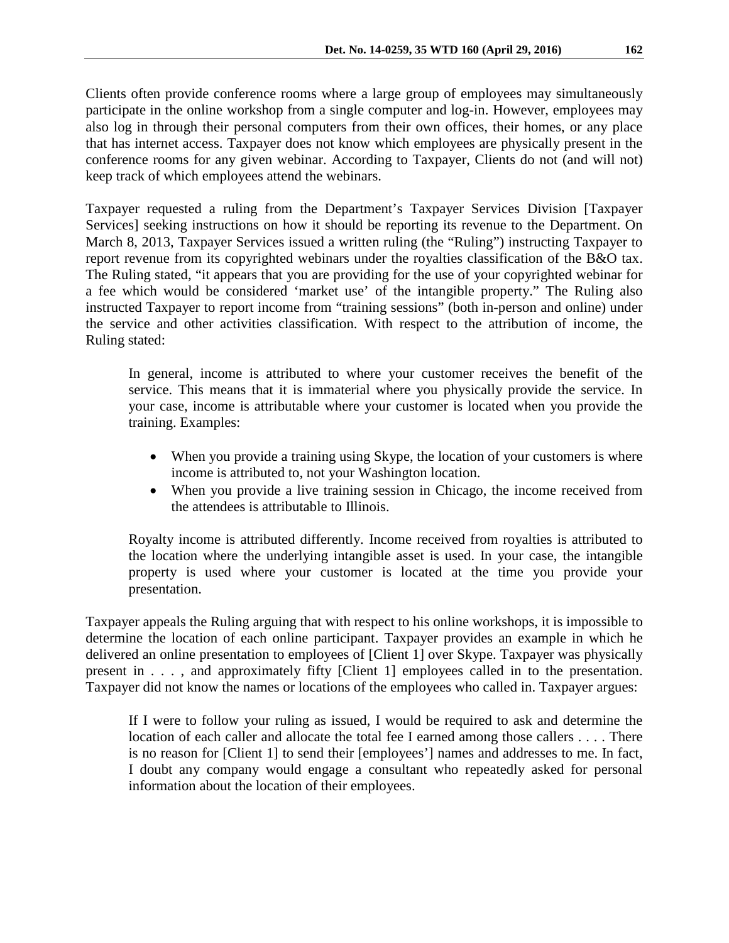Clients often provide conference rooms where a large group of employees may simultaneously participate in the online workshop from a single computer and log-in. However, employees may also log in through their personal computers from their own offices, their homes, or any place that has internet access. Taxpayer does not know which employees are physically present in the conference rooms for any given webinar. According to Taxpayer, Clients do not (and will not) keep track of which employees attend the webinars.

Taxpayer requested a ruling from the Department's Taxpayer Services Division [Taxpayer Services] seeking instructions on how it should be reporting its revenue to the Department. On March 8, 2013, Taxpayer Services issued a written ruling (the "Ruling") instructing Taxpayer to report revenue from its copyrighted webinars under the royalties classification of the B&O tax. The Ruling stated, "it appears that you are providing for the use of your copyrighted webinar for a fee which would be considered 'market use' of the intangible property." The Ruling also instructed Taxpayer to report income from "training sessions" (both in-person and online) under the service and other activities classification. With respect to the attribution of income, the Ruling stated:

In general, income is attributed to where your customer receives the benefit of the service. This means that it is immaterial where you physically provide the service. In your case, income is attributable where your customer is located when you provide the training. Examples:

- When you provide a training using Skype, the location of your customers is where income is attributed to, not your Washington location.
- When you provide a live training session in Chicago, the income received from the attendees is attributable to Illinois.

Royalty income is attributed differently. Income received from royalties is attributed to the location where the underlying intangible asset is used. In your case, the intangible property is used where your customer is located at the time you provide your presentation.

Taxpayer appeals the Ruling arguing that with respect to his online workshops, it is impossible to determine the location of each online participant. Taxpayer provides an example in which he delivered an online presentation to employees of [Client 1] over Skype. Taxpayer was physically present in . . . , and approximately fifty [Client 1] employees called in to the presentation. Taxpayer did not know the names or locations of the employees who called in. Taxpayer argues:

If I were to follow your ruling as issued, I would be required to ask and determine the location of each caller and allocate the total fee I earned among those callers . . . . There is no reason for [Client 1] to send their [employees'] names and addresses to me. In fact, I doubt any company would engage a consultant who repeatedly asked for personal information about the location of their employees.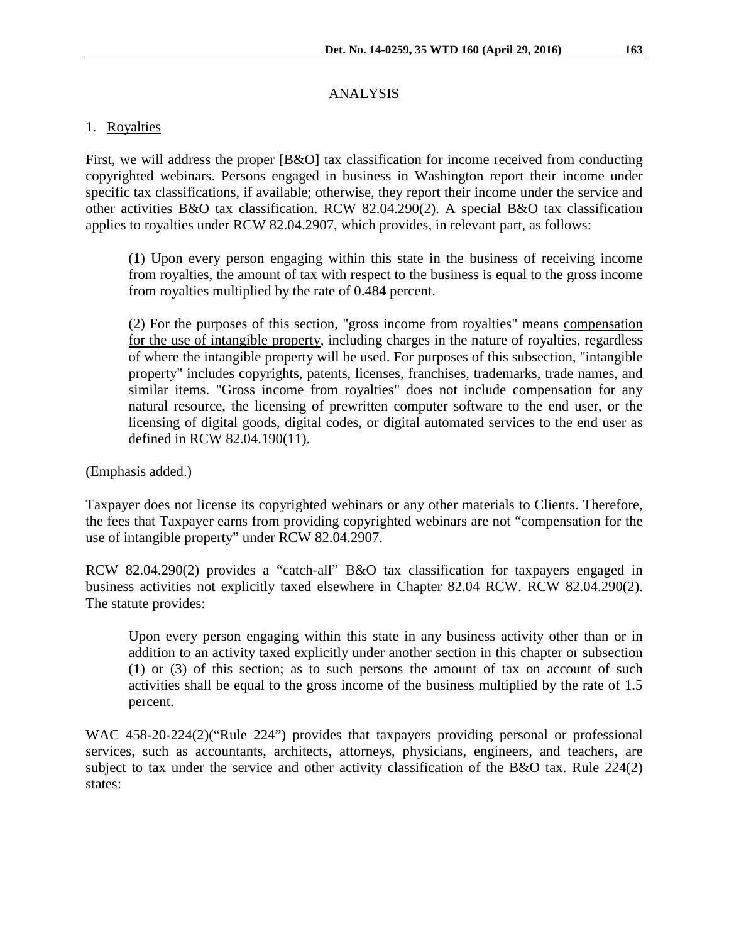# ANALYSIS

# 1. Royalties

First, we will address the proper [B&O] tax classification for income received from conducting copyrighted webinars. Persons engaged in business in Washington report their income under specific tax classifications, if available; otherwise, they report their income under the service and other activities B&O tax classification. RCW 82.04.290(2). A special B&O tax classification applies to royalties under RCW 82.04.2907, which provides, in relevant part, as follows:

(1) Upon every person engaging within this state in the business of receiving income from royalties, the amount of tax with respect to the business is equal to the gross income from royalties multiplied by the rate of 0.484 percent.

(2) For the purposes of this section, "gross income from royalties" means compensation for the use of intangible property, including charges in the nature of royalties, regardless of where the intangible property will be used. For purposes of this subsection, "intangible property" includes copyrights, patents, licenses, franchises, trademarks, trade names, and similar items. "Gross income from royalties" does not include compensation for any natural resource, the licensing of prewritten computer software to the end user, or the licensing of digital goods, digital codes, or digital automated services to the end user as defined in RCW 82.04.190(11).

(Emphasis added.)

Taxpayer does not license its copyrighted webinars or any other materials to Clients. Therefore, the fees that Taxpayer earns from providing copyrighted webinars are not "compensation for the use of intangible property" under RCW 82.04.2907.

RCW 82.04.290(2) provides a "catch-all" B&O tax classification for taxpayers engaged in business activities not explicitly taxed elsewhere in Chapter 82.04 RCW. RCW 82.04.290(2). The statute provides:

Upon every person engaging within this state in any business activity other than or in addition to an activity taxed explicitly under another section in this chapter or subsection (1) or (3) of this section; as to such persons the amount of tax on account of such activities shall be equal to the gross income of the business multiplied by the rate of 1.5 percent.

WAC 458-20-224(2)("Rule 224") provides that taxpayers providing personal or professional services, such as accountants, architects, attorneys, physicians, engineers, and teachers, are subject to tax under the service and other activity classification of the B&O tax. Rule 224(2) states: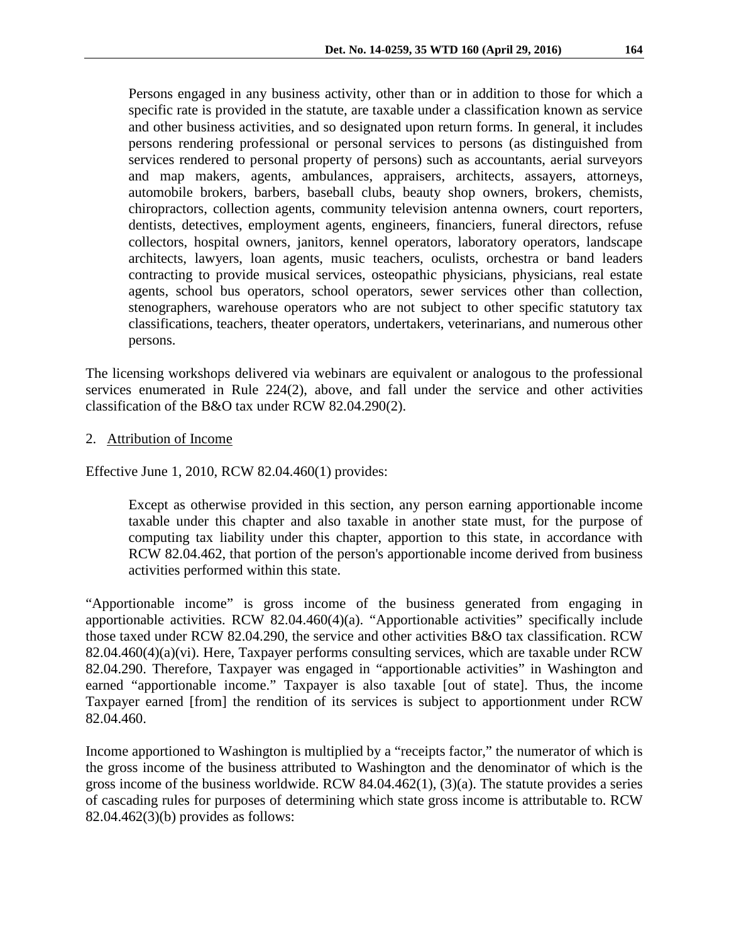Persons engaged in any business activity, other than or in addition to those for which a specific rate is provided in the statute, are taxable under a classification known as service and other business activities, and so designated upon return forms. In general, it includes persons rendering professional or personal services to persons (as distinguished from services rendered to personal property of persons) such as accountants, aerial surveyors and map makers, agents, ambulances, appraisers, architects, assayers, attorneys, automobile brokers, barbers, baseball clubs, beauty shop owners, brokers, chemists, chiropractors, collection agents, community television antenna owners, court reporters, dentists, detectives, employment agents, engineers, financiers, funeral directors, refuse collectors, hospital owners, janitors, kennel operators, laboratory operators, landscape architects, lawyers, loan agents, music teachers, oculists, orchestra or band leaders contracting to provide musical services, osteopathic physicians, physicians, real estate agents, school bus operators, school operators, sewer services other than collection, stenographers, warehouse operators who are not subject to other specific statutory tax classifications, teachers, theater operators, undertakers, veterinarians, and numerous other persons.

The licensing workshops delivered via webinars are equivalent or analogous to the professional services enumerated in Rule 224(2), above, and fall under the service and other activities classification of the B&O tax under RCW 82.04.290(2).

2. Attribution of Income

Effective June 1, 2010, RCW 82.04.460(1) provides:

Except as otherwise provided in this section, any person earning apportionable income taxable under this chapter and also taxable in another state must, for the purpose of computing tax liability under this chapter, apportion to this state, in accordance with RCW [82.04.462,](http://apps.leg.wa.gov/rcw/default.aspx?cite=82.04.462) that portion of the person's apportionable income derived from business activities performed within this state.

"Apportionable income" is gross income of the business generated from engaging in apportionable activities. RCW 82.04.460(4)(a). "Apportionable activities" specifically include those taxed under RCW 82.04.290, the service and other activities B&O tax classification. RCW 82.04.460(4)(a)(vi). Here, Taxpayer performs consulting services, which are taxable under RCW 82.04.290. Therefore, Taxpayer was engaged in "apportionable activities" in Washington and earned "apportionable income." Taxpayer is also taxable [out of state]. Thus, the income Taxpayer earned [from] the rendition of its services is subject to apportionment under RCW 82.04.460.

Income apportioned to Washington is multiplied by a "receipts factor," the numerator of which is the gross income of the business attributed to Washington and the denominator of which is the gross income of the business worldwide. RCW 84.04.462(1), (3)(a). The statute provides a series of cascading rules for purposes of determining which state gross income is attributable to. RCW 82.04.462(3)(b) provides as follows: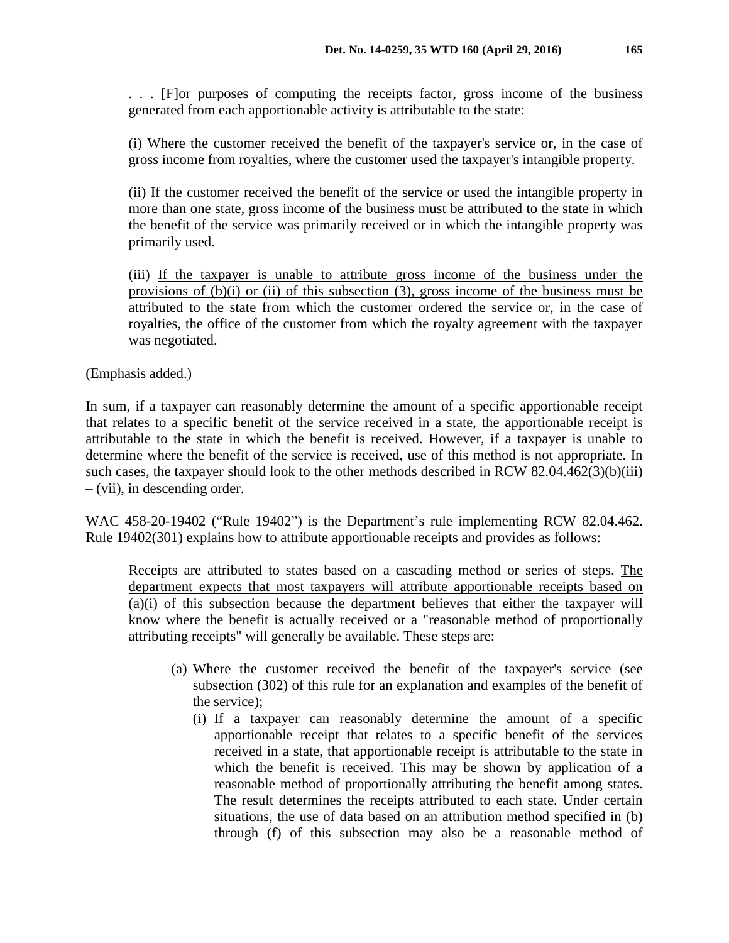. . . [F]or purposes of computing the receipts factor, gross income of the business generated from each apportionable activity is attributable to the state:

(i) Where the customer received the benefit of the taxpayer's service or, in the case of gross income from royalties, where the customer used the taxpayer's intangible property.

(ii) If the customer received the benefit of the service or used the intangible property in more than one state, gross income of the business must be attributed to the state in which the benefit of the service was primarily received or in which the intangible property was primarily used.

(iii) If the taxpayer is unable to attribute gross income of the business under the provisions of (b)(i) or (ii) of this subsection (3), gross income of the business must be attributed to the state from which the customer ordered the service or, in the case of royalties, the office of the customer from which the royalty agreement with the taxpayer was negotiated.

(Emphasis added.)

In sum, if a taxpayer can reasonably determine the amount of a specific apportionable receipt that relates to a specific benefit of the service received in a state, the apportionable receipt is attributable to the state in which the benefit is received. However, if a taxpayer is unable to determine where the benefit of the service is received, use of this method is not appropriate. In such cases, the taxpayer should look to the other methods described in RCW 82.04.462(3)(b)(iii) – (vii), in descending order.

WAC 458-20-19402 ("Rule 19402") is the Department's rule implementing RCW 82.04.462. Rule 19402(301) explains how to attribute apportionable receipts and provides as follows:

Receipts are attributed to states based on a cascading method or series of steps. The department expects that most taxpayers will attribute apportionable receipts based on (a)(i) of this subsection because the department believes that either the taxpayer will know where the benefit is actually received or a "reasonable method of proportionally attributing receipts" will generally be available. These steps are:

- (a) Where the customer received the benefit of the taxpayer's service (see subsection (302) of this rule for an explanation and examples of the benefit of the service);
	- (i) If a taxpayer can reasonably determine the amount of a specific apportionable receipt that relates to a specific benefit of the services received in a state, that apportionable receipt is attributable to the state in which the benefit is received. This may be shown by application of a reasonable method of proportionally attributing the benefit among states. The result determines the receipts attributed to each state. Under certain situations, the use of data based on an attribution method specified in (b) through (f) of this subsection may also be a reasonable method of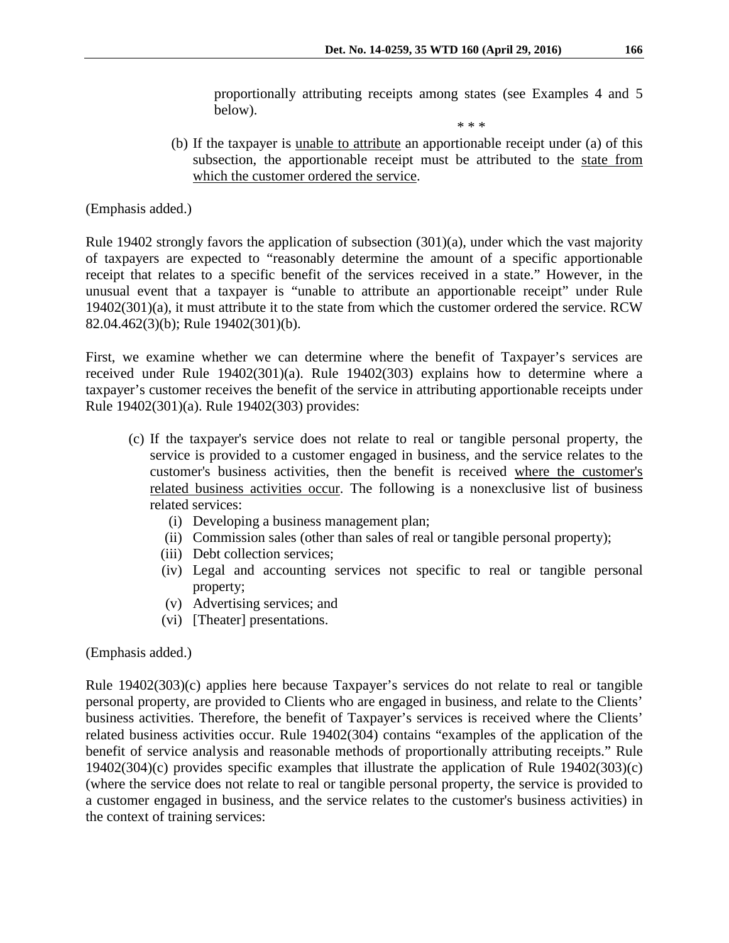proportionally attributing receipts among states (see Examples 4 and 5 below).

\* \* \*

(b) If the taxpayer is unable to attribute an apportionable receipt under (a) of this subsection, the apportionable receipt must be attributed to the state from which the customer ordered the service.

(Emphasis added.)

Rule 19402 strongly favors the application of subsection (301)(a), under which the vast majority of taxpayers are expected to "reasonably determine the amount of a specific apportionable receipt that relates to a specific benefit of the services received in a state." However, in the unusual event that a taxpayer is "unable to attribute an apportionable receipt" under Rule 19402(301)(a), it must attribute it to the state from which the customer ordered the service. RCW 82.04.462(3)(b); Rule 19402(301)(b).

First, we examine whether we can determine where the benefit of Taxpayer's services are received under Rule 19402(301)(a). Rule 19402(303) explains how to determine where a taxpayer's customer receives the benefit of the service in attributing apportionable receipts under Rule 19402(301)(a). Rule 19402(303) provides:

- (c) If the taxpayer's service does not relate to real or tangible personal property, the service is provided to a customer engaged in business, and the service relates to the customer's business activities, then the benefit is received where the customer's related business activities occur. The following is a nonexclusive list of business related services:
	- (i) Developing a business management plan;
	- (ii) Commission sales (other than sales of real or tangible personal property);
	- (iii) Debt collection services;
	- (iv) Legal and accounting services not specific to real or tangible personal property;
	- (v) Advertising services; and
	- (vi) [Theater] presentations.

(Emphasis added.)

Rule 19402(303)(c) applies here because Taxpayer's services do not relate to real or tangible personal property, are provided to Clients who are engaged in business, and relate to the Clients' business activities. Therefore, the benefit of Taxpayer's services is received where the Clients' related business activities occur. Rule 19402(304) contains "examples of the application of the benefit of service analysis and reasonable methods of proportionally attributing receipts." Rule 19402(304)(c) provides specific examples that illustrate the application of Rule 19402(303)(c) (where the service does not relate to real or tangible personal property, the service is provided to a customer engaged in business, and the service relates to the customer's business activities) in the context of training services: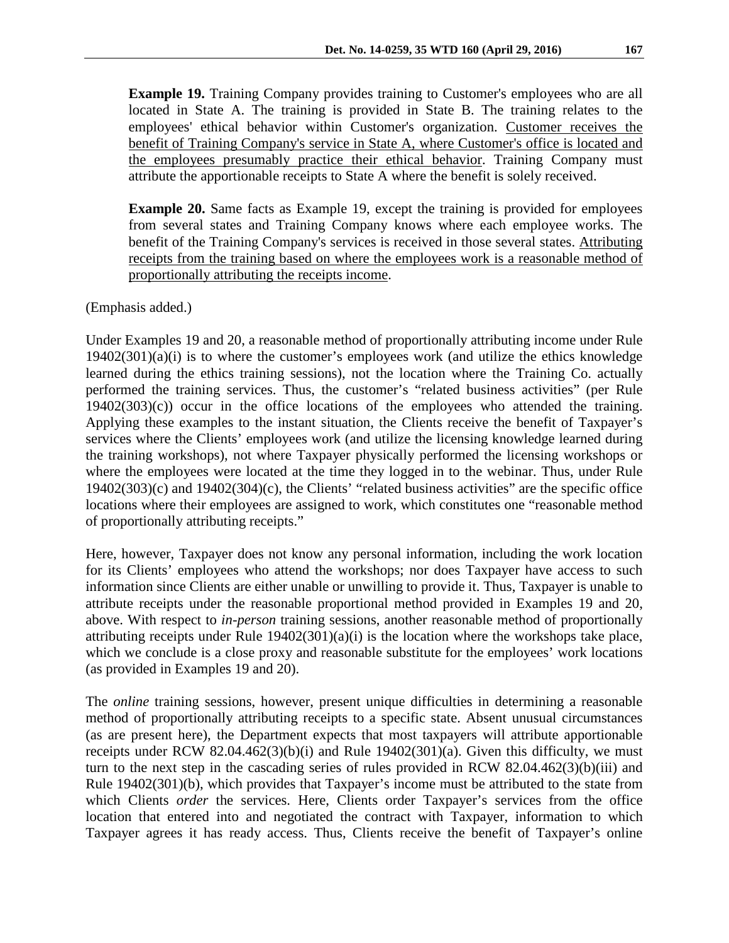**Example 19.** Training Company provides training to Customer's employees who are all located in State A. The training is provided in State B. The training relates to the employees' ethical behavior within Customer's organization. Customer receives the benefit of Training Company's service in State A, where Customer's office is located and the employees presumably practice their ethical behavior. Training Company must attribute the apportionable receipts to State A where the benefit is solely received.

**Example 20.** Same facts as Example 19, except the training is provided for employees from several states and Training Company knows where each employee works. The benefit of the Training Company's services is received in those several states. Attributing receipts from the training based on where the employees work is a reasonable method of proportionally attributing the receipts income.

(Emphasis added.)

Under Examples 19 and 20, a reasonable method of proportionally attributing income under Rule  $19402(301)(a)(i)$  is to where the customer's employees work (and utilize the ethics knowledge learned during the ethics training sessions), not the location where the Training Co. actually performed the training services. Thus, the customer's "related business activities" (per Rule 19402(303)(c)) occur in the office locations of the employees who attended the training. Applying these examples to the instant situation, the Clients receive the benefit of Taxpayer's services where the Clients' employees work (and utilize the licensing knowledge learned during the training workshops), not where Taxpayer physically performed the licensing workshops or where the employees were located at the time they logged in to the webinar. Thus, under Rule 19402(303)(c) and 19402(304)(c), the Clients' "related business activities" are the specific office locations where their employees are assigned to work, which constitutes one "reasonable method of proportionally attributing receipts."

Here, however, Taxpayer does not know any personal information, including the work location for its Clients' employees who attend the workshops; nor does Taxpayer have access to such information since Clients are either unable or unwilling to provide it. Thus, Taxpayer is unable to attribute receipts under the reasonable proportional method provided in Examples 19 and 20, above. With respect to *in-person* training sessions, another reasonable method of proportionally attributing receipts under Rule 19402(301)(a)(i) is the location where the workshops take place, which we conclude is a close proxy and reasonable substitute for the employees' work locations (as provided in Examples 19 and 20).

The *online* training sessions, however, present unique difficulties in determining a reasonable method of proportionally attributing receipts to a specific state. Absent unusual circumstances (as are present here), the Department expects that most taxpayers will attribute apportionable receipts under RCW 82.04.462(3)(b)(i) and Rule  $19402(301)(a)$ . Given this difficulty, we must turn to the next step in the cascading series of rules provided in RCW 82.04.462(3)(b)(iii) and Rule 19402(301)(b), which provides that Taxpayer's income must be attributed to the state from which Clients *order* the services. Here, Clients order Taxpayer's services from the office location that entered into and negotiated the contract with Taxpayer, information to which Taxpayer agrees it has ready access. Thus, Clients receive the benefit of Taxpayer's online